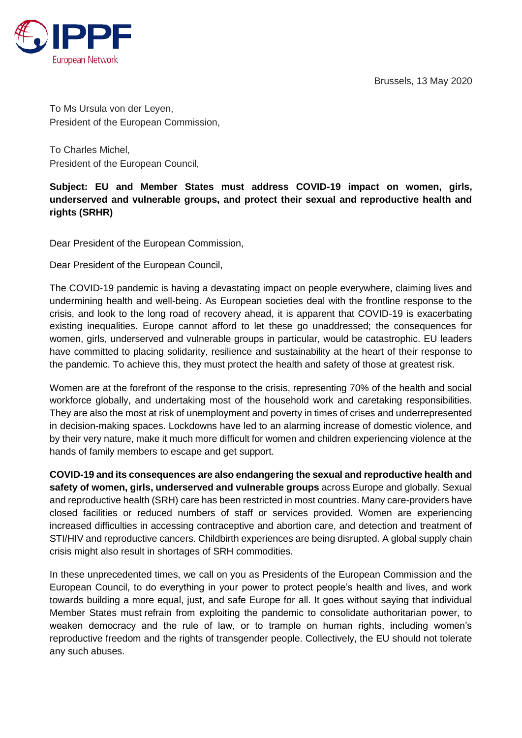Brussels, 13 May 2020



To Ms Ursula von der Leyen, President of the European Commission,

To Charles Michel, President of the European Council,

## **Subject: EU and Member States must address COVID-19 impact on women, girls, underserved and vulnerable groups, and protect their sexual and reproductive health and rights (SRHR)**

Dear President of the European Commission,

Dear President of the European Council,

The COVID-19 pandemic is having a devastating impact on people everywhere, claiming lives and undermining health and well-being. As European societies deal with the frontline response to the crisis, and look to the long road of recovery ahead, it is apparent that COVID-19 is exacerbating existing inequalities. Europe cannot afford to let these go unaddressed; the consequences for women, girls, underserved and vulnerable groups in particular, would be catastrophic. EU leaders have committed to placing solidarity, resilience and sustainability at the heart of their response to the pandemic. To achieve this, they must protect the health and safety of those at greatest risk.

Women are at the forefront of the response to the crisis, representing 70% of the health and social workforce globally, and undertaking most of the household work and caretaking responsibilities. They are also the most at risk of unemployment and poverty in times of crises and underrepresented in decision-making spaces. Lockdowns have led to an alarming increase of domestic violence, and by their very nature, make it much more difficult for women and children experiencing violence at the hands of family members to escape and get support.

**COVID-19 and its consequences are also endangering the sexual and reproductive health and safety of women, girls, underserved and vulnerable groups** across Europe and globally. Sexual and reproductive health (SRH) care has been restricted in most countries. Many care-providers have closed facilities or reduced numbers of staff or services provided. Women are experiencing increased difficulties in accessing contraceptive and abortion care, and detection and treatment of STI/HIV and reproductive cancers. Childbirth experiences are being disrupted. A global supply chain crisis might also result in shortages of SRH commodities.

In these unprecedented times, we call on you as Presidents of the European Commission and the European Council, to do everything in your power to protect people's health and lives, and work towards building a more equal, just, and safe Europe for all. It goes without saying that individual Member States must refrain from exploiting the pandemic to consolidate authoritarian power, to weaken democracy and the rule of law, or to trample on human rights, including women's reproductive freedom and the rights of transgender people. Collectively, the EU should not tolerate any such abuses.